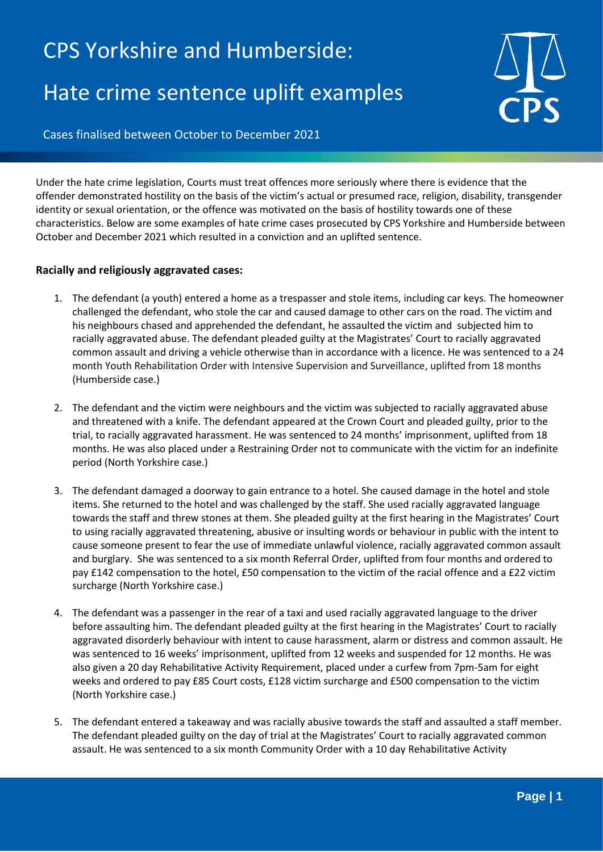## CPS Yorkshire and Humberside: Hate crime sentence uplift examples



Cases finalised between October to December 2021

Under the hate crime legislation, Courts must treat offences more seriously where there is evidence that the offender demonstrated hostility on the basis of the victim's actual or presumed race, religion, disability, transgender identity or sexual orientation, or the offence was motivated on the basis of hostility towards one of these characteristics. Below are some examples of hate crime cases prosecuted by CPS Yorkshire and Humberside between October and December 2021 which resulted in a conviction and an uplifted sentence.

## **Racially and religiously aggravated cases:**

- 1. The defendant (a youth) entered a home as a trespasser and stole items, including car keys. The homeowner challenged the defendant, who stole the car and caused damage to other cars on the road. The victim and his neighbours chased and apprehended the defendant, he assaulted the victim and subjected him to racially aggravated abuse. The defendant pleaded guilty at the Magistrates' Court to racially aggravated common assault and driving a vehicle otherwise than in accordance with a licence. He was sentenced to a 24 month Youth Rehabilitation Order with Intensive Supervision and Surveillance, uplifted from 18 months (Humberside case.)
- 2. The defendant and the victim were neighbours and the victim was subjected to racially aggravated abuse and threatened with a knife. The defendant appeared at the Crown Court and pleaded guilty, prior to the trial, to racially aggravated harassment. He was sentenced to 24 months' imprisonment, uplifted from 18 months. He was also placed under a Restraining Order not to communicate with the victim for an indefinite period (North Yorkshire case.)
- 3. The defendant damaged a doorway to gain entrance to a hotel. She caused damage in the hotel and stole items. She returned to the hotel and was challenged by the staff. She used racially aggravated language towards the staff and threw stones at them. She pleaded guilty at the first hearing in the Magistrates' Court to using racially aggravated threatening, abusive or insulting words or behaviour in public with the intent to cause someone present to fear the use of immediate unlawful violence, racially aggravated common assault and burglary. She was sentenced to a six month Referral Order, uplifted from four months and ordered to pay £142 compensation to the hotel, £50 compensation to the victim of the racial offence and a £22 victim surcharge (North Yorkshire case.)
- 4. The defendant was a passenger in the rear of a taxi and used racially aggravated language to the driver before assaulting him. The defendant pleaded guilty at the first hearing in the Magistrates' Court to racially aggravated disorderly behaviour with intent to cause harassment, alarm or distress and common assault. He was sentenced to 16 weeks' imprisonment, uplifted from 12 weeks and suspended for 12 months. He was also given a 20 day Rehabilitative Activity Requirement, placed under a curfew from 7pm-5am for eight weeks and ordered to pay £85 Court costs, £128 victim surcharge and £500 compensation to the victim (North Yorkshire case.)
- 5. The defendant entered a takeaway and was racially abusive towards the staff and assaulted a staff member. The defendant pleaded guilty on the day of trial at the Magistrates' Court to racially aggravated common assault. He was sentenced to a six month Community Order with a 10 day Rehabilitative Activity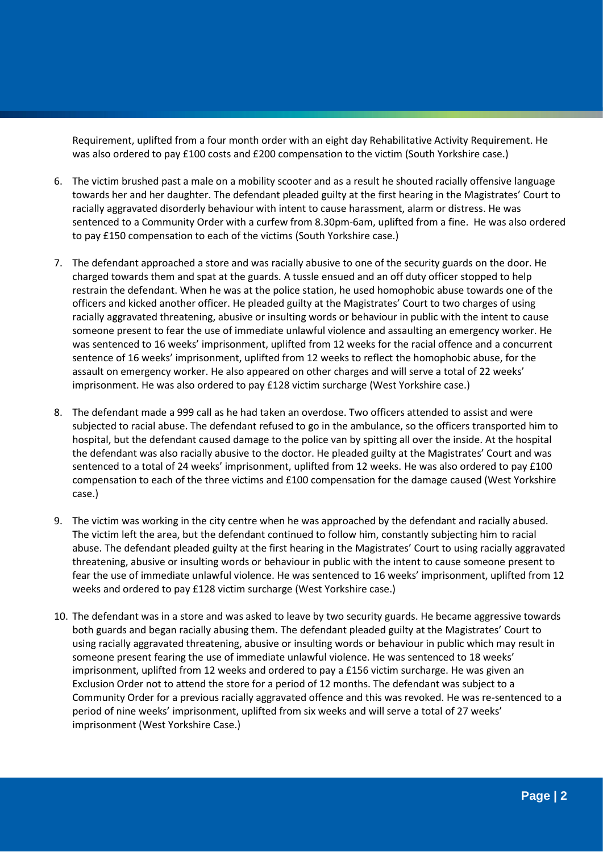Requirement, uplifted from a four month order with an eight day Rehabilitative Activity Requirement. He was also ordered to pay £100 costs and £200 compensation to the victim (South Yorkshire case.)

- 6. The victim brushed past a male on a mobility scooter and as a result he shouted racially offensive language towards her and her daughter. The defendant pleaded guilty at the first hearing in the Magistrates' Court to racially aggravated disorderly behaviour with intent to cause harassment, alarm or distress. He was sentenced to a Community Order with a curfew from 8.30pm-6am, uplifted from a fine. He was also ordered to pay £150 compensation to each of the victims (South Yorkshire case.)
- 7. The defendant approached a store and was racially abusive to one of the security guards on the door. He charged towards them and spat at the guards. A tussle ensued and an off duty officer stopped to help restrain the defendant. When he was at the police station, he used homophobic abuse towards one of the officers and kicked another officer. He pleaded guilty at the Magistrates' Court to two charges of using racially aggravated threatening, abusive or insulting words or behaviour in public with the intent to cause someone present to fear the use of immediate unlawful violence and assaulting an emergency worker. He was sentenced to 16 weeks' imprisonment, uplifted from 12 weeks for the racial offence and a concurrent sentence of 16 weeks' imprisonment, uplifted from 12 weeks to reflect the homophobic abuse, for the assault on emergency worker. He also appeared on other charges and will serve a total of 22 weeks' imprisonment. He was also ordered to pay £128 victim surcharge (West Yorkshire case.)
- 8. The defendant made a 999 call as he had taken an overdose. Two officers attended to assist and were subjected to racial abuse. The defendant refused to go in the ambulance, so the officers transported him to hospital, but the defendant caused damage to the police van by spitting all over the inside. At the hospital the defendant was also racially abusive to the doctor. He pleaded guilty at the Magistrates' Court and was sentenced to a total of 24 weeks' imprisonment, uplifted from 12 weeks. He was also ordered to pay £100 compensation to each of the three victims and £100 compensation for the damage caused (West Yorkshire case.)
- 9. The victim was working in the city centre when he was approached by the defendant and racially abused. The victim left the area, but the defendant continued to follow him, constantly subjecting him to racial abuse. The defendant pleaded guilty at the first hearing in the Magistrates' Court to using racially aggravated threatening, abusive or insulting words or behaviour in public with the intent to cause someone present to fear the use of immediate unlawful violence. He was sentenced to 16 weeks' imprisonment, uplifted from 12 weeks and ordered to pay £128 victim surcharge (West Yorkshire case.)
- 10. The defendant was in a store and was asked to leave by two security guards. He became aggressive towards both guards and began racially abusing them. The defendant pleaded guilty at the Magistrates' Court to using racially aggravated threatening, abusive or insulting words or behaviour in public which may result in someone present fearing the use of immediate unlawful violence. He was sentenced to 18 weeks' imprisonment, uplifted from 12 weeks and ordered to pay a £156 victim surcharge. He was given an Exclusion Order not to attend the store for a period of 12 months. The defendant was subject to a Community Order for a previous racially aggravated offence and this was revoked. He was re-sentenced to a period of nine weeks' imprisonment, uplifted from six weeks and will serve a total of 27 weeks' imprisonment (West Yorkshire Case.)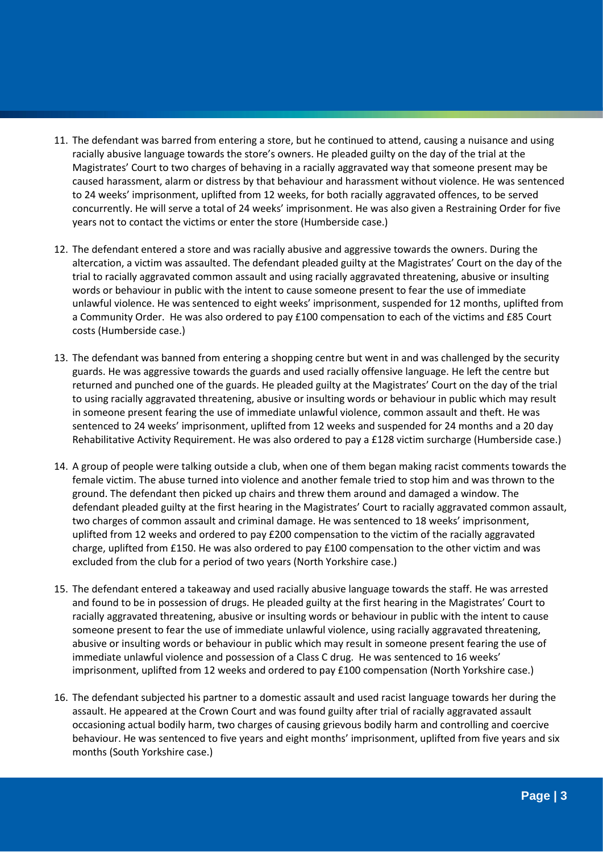- 11. The defendant was barred from entering a store, but he continued to attend, causing a nuisance and using racially abusive language towards the store's owners. He pleaded guilty on the day of the trial at the Magistrates' Court to two charges of behaving in a racially aggravated way that someone present may be caused harassment, alarm or distress by that behaviour and harassment without violence. He was sentenced to 24 weeks' imprisonment, uplifted from 12 weeks, for both racially aggravated offences, to be served concurrently. He will serve a total of 24 weeks' imprisonment. He was also given a Restraining Order for five years not to contact the victims or enter the store (Humberside case.)
- 12. The defendant entered a store and was racially abusive and aggressive towards the owners. During the altercation, a victim was assaulted. The defendant pleaded guilty at the Magistrates' Court on the day of the trial to racially aggravated common assault and using racially aggravated threatening, abusive or insulting words or behaviour in public with the intent to cause someone present to fear the use of immediate unlawful violence. He was sentenced to eight weeks' imprisonment, suspended for 12 months, uplifted from a Community Order. He was also ordered to pay £100 compensation to each of the victims and £85 Court costs (Humberside case.)
- 13. The defendant was banned from entering a shopping centre but went in and was challenged by the security guards. He was aggressive towards the guards and used racially offensive language. He left the centre but returned and punched one of the guards. He pleaded guilty at the Magistrates' Court on the day of the trial to using racially aggravated threatening, abusive or insulting words or behaviour in public which may result in someone present fearing the use of immediate unlawful violence, common assault and theft. He was sentenced to 24 weeks' imprisonment, uplifted from 12 weeks and suspended for 24 months and a 20 day Rehabilitative Activity Requirement. He was also ordered to pay a £128 victim surcharge (Humberside case.)
- 14. A group of people were talking outside a club, when one of them began making racist comments towards the female victim. The abuse turned into violence and another female tried to stop him and was thrown to the ground. The defendant then picked up chairs and threw them around and damaged a window. The defendant pleaded guilty at the first hearing in the Magistrates' Court to racially aggravated common assault, two charges of common assault and criminal damage. He was sentenced to 18 weeks' imprisonment, uplifted from 12 weeks and ordered to pay £200 compensation to the victim of the racially aggravated charge, uplifted from £150. He was also ordered to pay £100 compensation to the other victim and was excluded from the club for a period of two years (North Yorkshire case.)
- 15. The defendant entered a takeaway and used racially abusive language towards the staff. He was arrested and found to be in possession of drugs. He pleaded guilty at the first hearing in the Magistrates' Court to racially aggravated threatening, abusive or insulting words or behaviour in public with the intent to cause someone present to fear the use of immediate unlawful violence, using racially aggravated threatening, abusive or insulting words or behaviour in public which may result in someone present fearing the use of immediate unlawful violence and possession of a Class C drug. He was sentenced to 16 weeks' imprisonment, uplifted from 12 weeks and ordered to pay £100 compensation (North Yorkshire case.)
- 16. The defendant subjected his partner to a domestic assault and used racist language towards her during the assault. He appeared at the Crown Court and was found guilty after trial of racially aggravated assault occasioning actual bodily harm, two charges of causing grievous bodily harm and controlling and coercive behaviour. He was sentenced to five years and eight months' imprisonment, uplifted from five years and six months (South Yorkshire case.)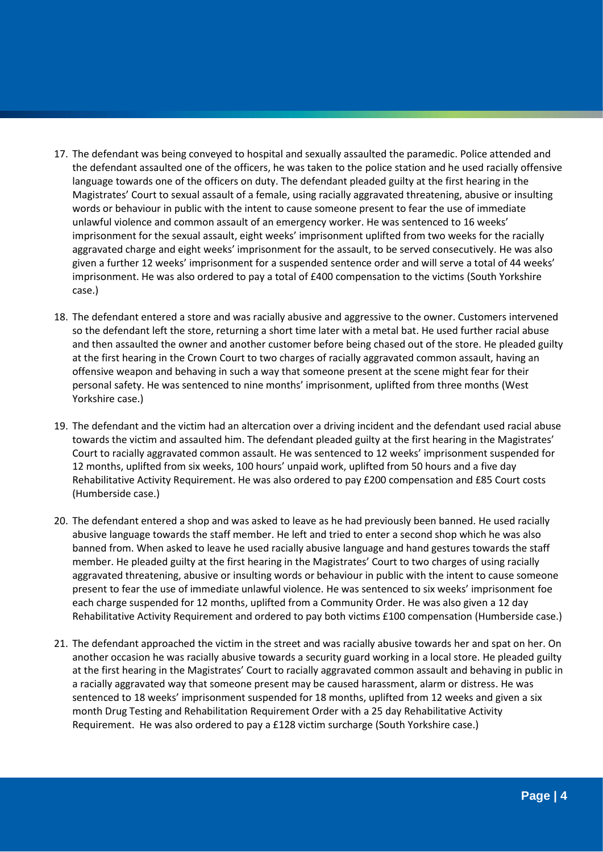- 17. The defendant was being conveyed to hospital and sexually assaulted the paramedic. Police attended and the defendant assaulted one of the officers, he was taken to the police station and he used racially offensive language towards one of the officers on duty. The defendant pleaded guilty at the first hearing in the Magistrates' Court to sexual assault of a female, using racially aggravated threatening, abusive or insulting words or behaviour in public with the intent to cause someone present to fear the use of immediate unlawful violence and common assault of an emergency worker. He was sentenced to 16 weeks' imprisonment for the sexual assault, eight weeks' imprisonment uplifted from two weeks for the racially aggravated charge and eight weeks' imprisonment for the assault, to be served consecutively. He was also given a further 12 weeks' imprisonment for a suspended sentence order and will serve a total of 44 weeks' imprisonment. He was also ordered to pay a total of £400 compensation to the victims (South Yorkshire case.)
- 18. The defendant entered a store and was racially abusive and aggressive to the owner. Customers intervened so the defendant left the store, returning a short time later with a metal bat. He used further racial abuse and then assaulted the owner and another customer before being chased out of the store. He pleaded guilty at the first hearing in the Crown Court to two charges of racially aggravated common assault, having an offensive weapon and behaving in such a way that someone present at the scene might fear for their personal safety. He was sentenced to nine months' imprisonment, uplifted from three months (West Yorkshire case.)
- 19. The defendant and the victim had an altercation over a driving incident and the defendant used racial abuse towards the victim and assaulted him. The defendant pleaded guilty at the first hearing in the Magistrates' Court to racially aggravated common assault. He was sentenced to 12 weeks' imprisonment suspended for 12 months, uplifted from six weeks, 100 hours' unpaid work, uplifted from 50 hours and a five day Rehabilitative Activity Requirement. He was also ordered to pay £200 compensation and £85 Court costs (Humberside case.)
- 20. The defendant entered a shop and was asked to leave as he had previously been banned. He used racially abusive language towards the staff member. He left and tried to enter a second shop which he was also banned from. When asked to leave he used racially abusive language and hand gestures towards the staff member. He pleaded guilty at the first hearing in the Magistrates' Court to two charges of using racially aggravated threatening, abusive or insulting words or behaviour in public with the intent to cause someone present to fear the use of immediate unlawful violence. He was sentenced to six weeks' imprisonment foe each charge suspended for 12 months, uplifted from a Community Order. He was also given a 12 day Rehabilitative Activity Requirement and ordered to pay both victims £100 compensation (Humberside case.)
- 21. The defendant approached the victim in the street and was racially abusive towards her and spat on her. On another occasion he was racially abusive towards a security guard working in a local store. He pleaded guilty at the first hearing in the Magistrates' Court to racially aggravated common assault and behaving in public in a racially aggravated way that someone present may be caused harassment, alarm or distress. He was sentenced to 18 weeks' imprisonment suspended for 18 months, uplifted from 12 weeks and given a six month Drug Testing and Rehabilitation Requirement Order with a 25 day Rehabilitative Activity Requirement. He was also ordered to pay a £128 victim surcharge (South Yorkshire case.)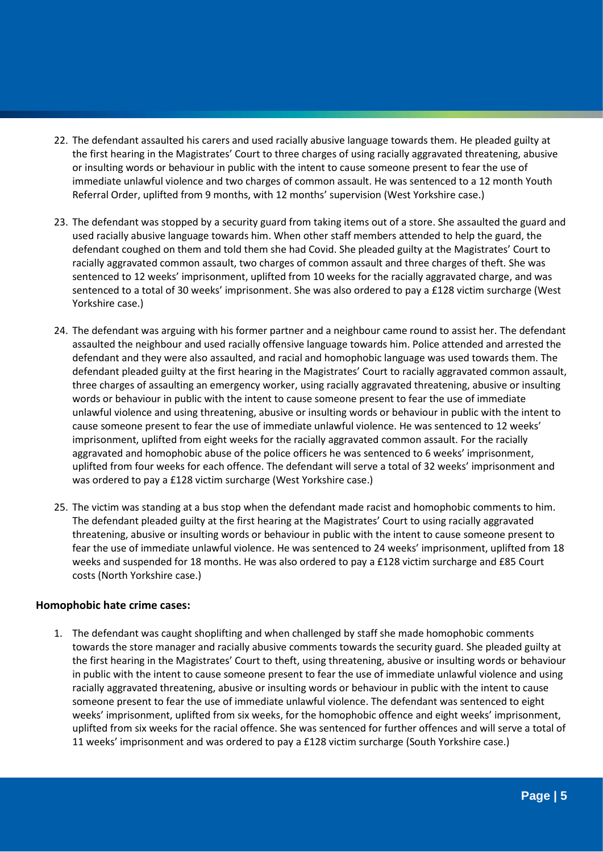- 22. The defendant assaulted his carers and used racially abusive language towards them. He pleaded guilty at the first hearing in the Magistrates' Court to three charges of using racially aggravated threatening, abusive or insulting words or behaviour in public with the intent to cause someone present to fear the use of immediate unlawful violence and two charges of common assault. He was sentenced to a 12 month Youth Referral Order, uplifted from 9 months, with 12 months' supervision (West Yorkshire case.)
- 23. The defendant was stopped by a security guard from taking items out of a store. She assaulted the guard and used racially abusive language towards him. When other staff members attended to help the guard, the defendant coughed on them and told them she had Covid. She pleaded guilty at the Magistrates' Court to racially aggravated common assault, two charges of common assault and three charges of theft. She was sentenced to 12 weeks' imprisonment, uplifted from 10 weeks for the racially aggravated charge, and was sentenced to a total of 30 weeks' imprisonment. She was also ordered to pay a £128 victim surcharge (West Yorkshire case.)
- 24. The defendant was arguing with his former partner and a neighbour came round to assist her. The defendant assaulted the neighbour and used racially offensive language towards him. Police attended and arrested the defendant and they were also assaulted, and racial and homophobic language was used towards them. The defendant pleaded guilty at the first hearing in the Magistrates' Court to racially aggravated common assault, three charges of assaulting an emergency worker, using racially aggravated threatening, abusive or insulting words or behaviour in public with the intent to cause someone present to fear the use of immediate unlawful violence and using threatening, abusive or insulting words or behaviour in public with the intent to cause someone present to fear the use of immediate unlawful violence. He was sentenced to 12 weeks' imprisonment, uplifted from eight weeks for the racially aggravated common assault. For the racially aggravated and homophobic abuse of the police officers he was sentenced to 6 weeks' imprisonment, uplifted from four weeks for each offence. The defendant will serve a total of 32 weeks' imprisonment and was ordered to pay a £128 victim surcharge (West Yorkshire case.)
- 25. The victim was standing at a bus stop when the defendant made racist and homophobic comments to him. The defendant pleaded guilty at the first hearing at the Magistrates' Court to using racially aggravated threatening, abusive or insulting words or behaviour in public with the intent to cause someone present to fear the use of immediate unlawful violence. He was sentenced to 24 weeks' imprisonment, uplifted from 18 weeks and suspended for 18 months. He was also ordered to pay a £128 victim surcharge and £85 Court costs (North Yorkshire case.)

## **Homophobic hate crime cases:**

1. The defendant was caught shoplifting and when challenged by staff she made homophobic comments towards the store manager and racially abusive comments towards the security guard. She pleaded guilty at the first hearing in the Magistrates' Court to theft, using threatening, abusive or insulting words or behaviour in public with the intent to cause someone present to fear the use of immediate unlawful violence and using racially aggravated threatening, abusive or insulting words or behaviour in public with the intent to cause someone present to fear the use of immediate unlawful violence. The defendant was sentenced to eight weeks' imprisonment, uplifted from six weeks, for the homophobic offence and eight weeks' imprisonment, uplifted from six weeks for the racial offence. She was sentenced for further offences and will serve a total of 11 weeks' imprisonment and was ordered to pay a £128 victim surcharge (South Yorkshire case.)